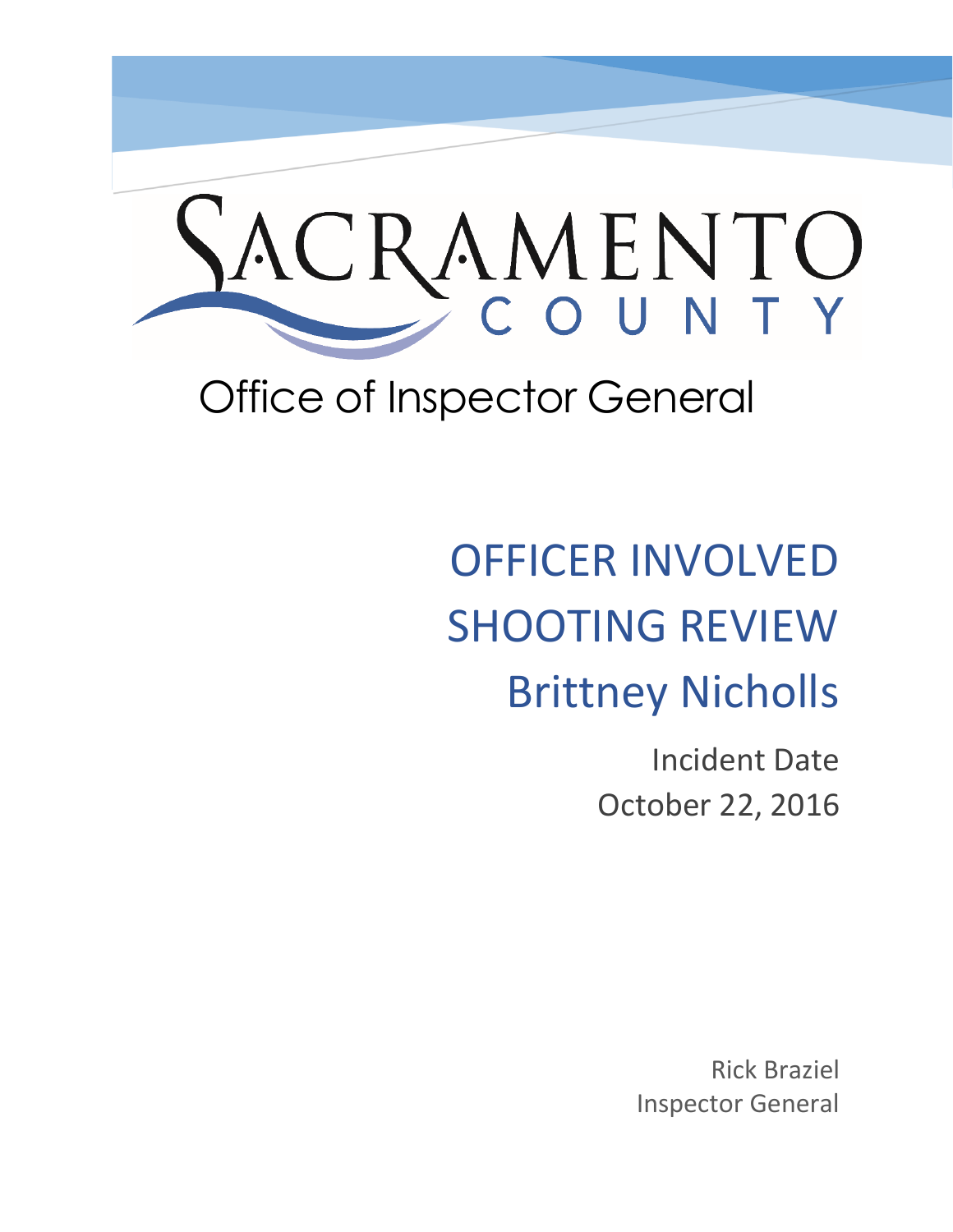

## Office of Inspector General

# OFFICER INVOLVED SHOOTING REVIEW Brittney Nicholls

Incident Date October 22, 2016

> Rick Braziel Inspector General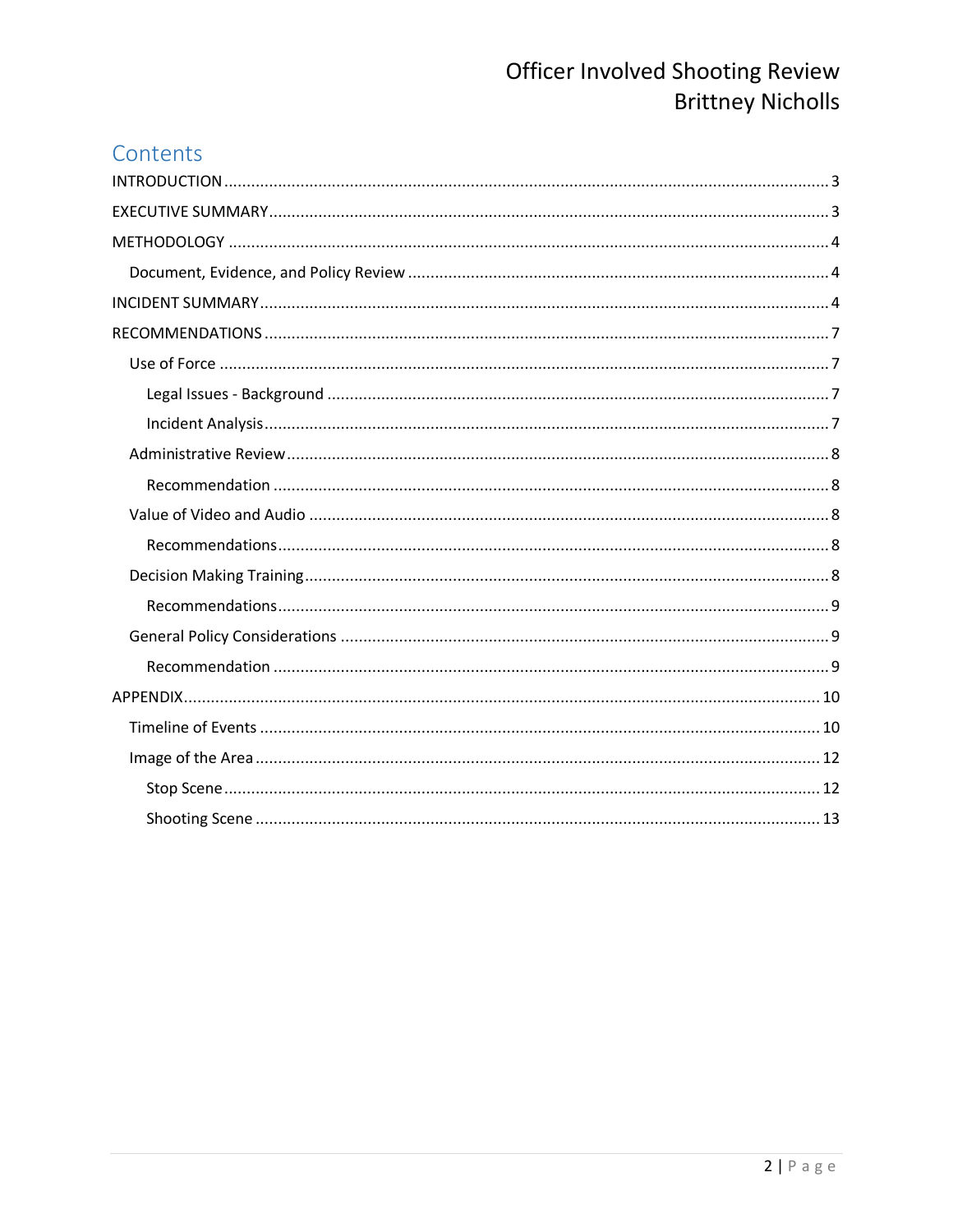## Contents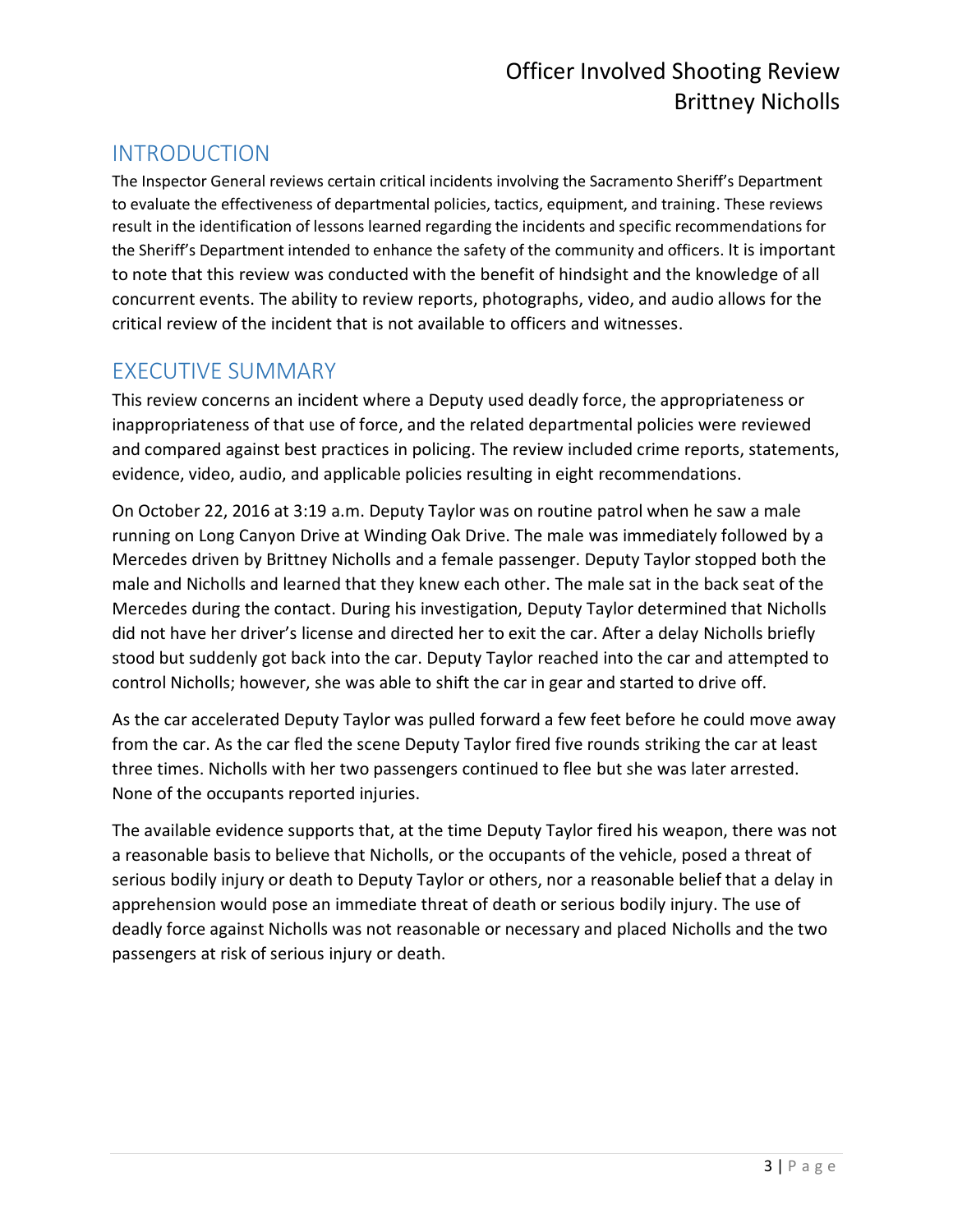## <span id="page-2-0"></span>INTRODUCTION

The Inspector General reviews certain critical incidents involving the Sacramento Sheriff's Department to evaluate the effectiveness of departmental policies, tactics, equipment, and training. These reviews result in the identification of lessons learned regarding the incidents and specific recommendations for the Sheriff's Department intended to enhance the safety of the community and officers. It is important to note that this review was conducted with the benefit of hindsight and the knowledge of all concurrent events. The ability to review reports, photographs, video, and audio allows for the critical review of the incident that is not available to officers and witnesses.

## <span id="page-2-1"></span>EXECUTIVE SUMMARY

This review concerns an incident where a Deputy used deadly force, the appropriateness or inappropriateness of that use of force, and the related departmental policies were reviewed and compared against best practices in policing. The review included crime reports, statements, evidence, video, audio, and applicable policies resulting in eight recommendations.

On October 22, 2016 at 3:19 a.m. Deputy Taylor was on routine patrol when he saw a male running on Long Canyon Drive at Winding Oak Drive. The male was immediately followed by a Mercedes driven by Brittney Nicholls and a female passenger. Deputy Taylor stopped both the male and Nicholls and learned that they knew each other. The male sat in the back seat of the Mercedes during the contact. During his investigation, Deputy Taylor determined that Nicholls did not have her driver's license and directed her to exit the car. After a delay Nicholls briefly stood but suddenly got back into the car. Deputy Taylor reached into the car and attempted to control Nicholls; however, she was able to shift the car in gear and started to drive off.

As the car accelerated Deputy Taylor was pulled forward a few feet before he could move away from the car. As the car fled the scene Deputy Taylor fired five rounds striking the car at least three times. Nicholls with her two passengers continued to flee but she was later arrested. None of the occupants reported injuries.

The available evidence supports that, at the time Deputy Taylor fired his weapon, there was not a reasonable basis to believe that Nicholls, or the occupants of the vehicle, posed a threat of serious bodily injury or death to Deputy Taylor or others, nor a reasonable belief that a delay in apprehension would pose an immediate threat of death or serious bodily injury. The use of deadly force against Nicholls was not reasonable or necessary and placed Nicholls and the two passengers at risk of serious injury or death.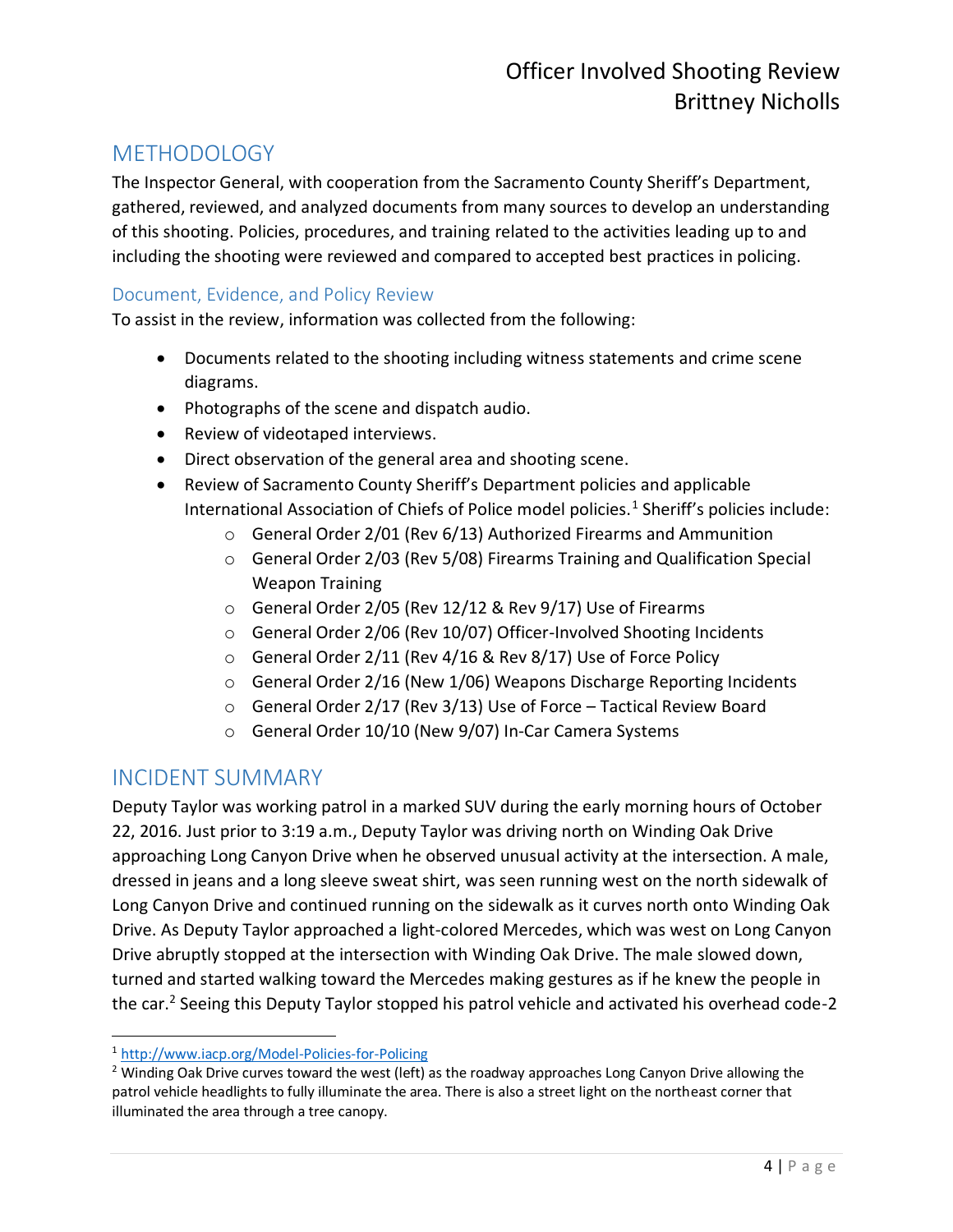## <span id="page-3-0"></span>**METHODOLOGY**

The Inspector General, with cooperation from the Sacramento County Sheriff's Department, gathered, reviewed, and analyzed documents from many sources to develop an understanding of this shooting. Policies, procedures, and training related to the activities leading up to and including the shooting were reviewed and compared to accepted best practices in policing.

#### <span id="page-3-1"></span>Document, Evidence, and Policy Review

To assist in the review, information was collected from the following:

- Documents related to the shooting including witness statements and crime scene diagrams.
- Photographs of the scene and dispatch audio.
- Review of videotaped interviews.
- Direct observation of the general area and shooting scene.
- Review of Sacramento County Sheriff's Department policies and applicable International Association of Chiefs of Police model policies.<sup>1</sup> Sheriff's policies include:
	- o General Order 2/01 (Rev 6/13) Authorized Firearms and Ammunition
	- o General Order 2/03 (Rev 5/08) Firearms Training and Qualification Special Weapon Training
	- o General Order 2/05 (Rev 12/12 & Rev 9/17) Use of Firearms
	- o General Order 2/06 (Rev 10/07) Officer-Involved Shooting Incidents
	- o General Order 2/11 (Rev 4/16 & Rev 8/17) Use of Force Policy
	- o General Order 2/16 (New 1/06) Weapons Discharge Reporting Incidents
	- o General Order 2/17 (Rev 3/13) Use of Force Tactical Review Board
	- o General Order 10/10 (New 9/07) In-Car Camera Systems

## <span id="page-3-2"></span>INCIDENT SUMMARY

 $\overline{a}$ 

Deputy Taylor was working patrol in a marked SUV during the early morning hours of October 22, 2016. Just prior to 3:19 a.m., Deputy Taylor was driving north on Winding Oak Drive approaching Long Canyon Drive when he observed unusual activity at the intersection. A male, dressed in jeans and a long sleeve sweat shirt, was seen running west on the north sidewalk of Long Canyon Drive and continued running on the sidewalk as it curves north onto Winding Oak Drive. As Deputy Taylor approached a light-colored Mercedes, which was west on Long Canyon Drive abruptly stopped at the intersection with Winding Oak Drive. The male slowed down, turned and started walking toward the Mercedes making gestures as if he knew the people in the car.<sup>2</sup> Seeing this Deputy Taylor stopped his patrol vehicle and activated his overhead code-2

<sup>1</sup> <http://www.iacp.org/Model-Policies-for-Policing>

<sup>&</sup>lt;sup>2</sup> Winding Oak Drive curves toward the west (left) as the roadway approaches Long Canyon Drive allowing the patrol vehicle headlights to fully illuminate the area. There is also a street light on the northeast corner that illuminated the area through a tree canopy.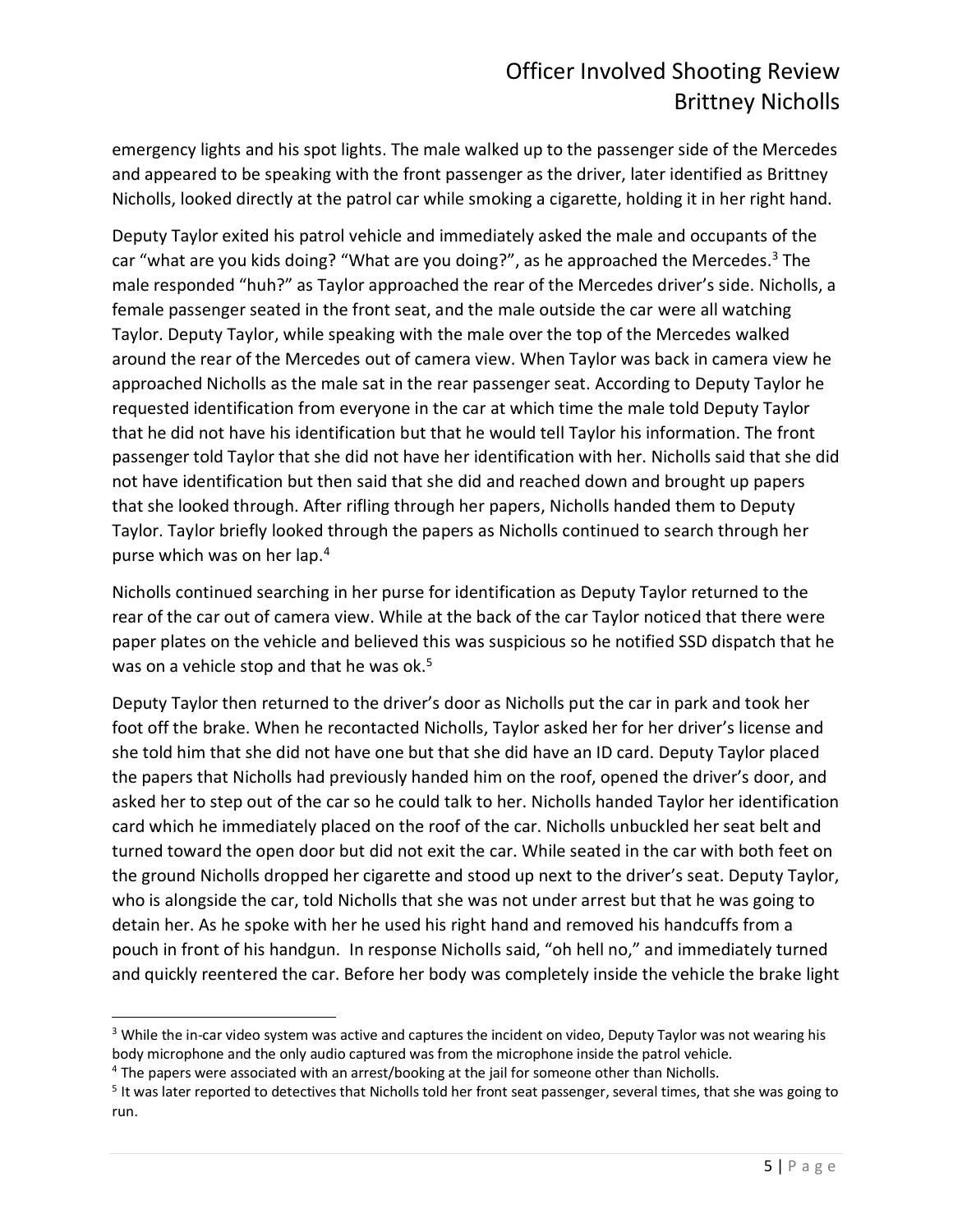emergency lights and his spot lights. The male walked up to the passenger side of the Mercedes and appeared to be speaking with the front passenger as the driver, later identified as Brittney Nicholls, looked directly at the patrol car while smoking a cigarette, holding it in her right hand.

Deputy Taylor exited his patrol vehicle and immediately asked the male and occupants of the car "what are you kids doing? "What are you doing?", as he approached the Mercedes. $3$  The male responded "huh?" as Taylor approached the rear of the Mercedes driver's side. Nicholls, a female passenger seated in the front seat, and the male outside the car were all watching Taylor. Deputy Taylor, while speaking with the male over the top of the Mercedes walked around the rear of the Mercedes out of camera view. When Taylor was back in camera view he approached Nicholls as the male sat in the rear passenger seat. According to Deputy Taylor he requested identification from everyone in the car at which time the male told Deputy Taylor that he did not have his identification but that he would tell Taylor his information. The front passenger told Taylor that she did not have her identification with her. Nicholls said that she did not have identification but then said that she did and reached down and brought up papers that she looked through. After rifling through her papers, Nicholls handed them to Deputy Taylor. Taylor briefly looked through the papers as Nicholls continued to search through her purse which was on her lap.<sup>4</sup>

Nicholls continued searching in her purse for identification as Deputy Taylor returned to the rear of the car out of camera view. While at the back of the car Taylor noticed that there were paper plates on the vehicle and believed this was suspicious so he notified SSD dispatch that he was on a vehicle stop and that he was ok.<sup>5</sup>

Deputy Taylor then returned to the driver's door as Nicholls put the car in park and took her foot off the brake. When he recontacted Nicholls, Taylor asked her for her driver's license and she told him that she did not have one but that she did have an ID card. Deputy Taylor placed the papers that Nicholls had previously handed him on the roof, opened the driver's door, and asked her to step out of the car so he could talk to her. Nicholls handed Taylor her identification card which he immediately placed on the roof of the car. Nicholls unbuckled her seat belt and turned toward the open door but did not exit the car. While seated in the car with both feet on the ground Nicholls dropped her cigarette and stood up next to the driver's seat. Deputy Taylor, who is alongside the car, told Nicholls that she was not under arrest but that he was going to detain her. As he spoke with her he used his right hand and removed his handcuffs from a pouch in front of his handgun. In response Nicholls said, "oh hell no," and immediately turned and quickly reentered the car. Before her body was completely inside the vehicle the brake light

<sup>&</sup>lt;sup>3</sup> While the in-car video system was active and captures the incident on video, Deputy Taylor was not wearing his body microphone and the only audio captured was from the microphone inside the patrol vehicle.

<sup>4</sup> The papers were associated with an arrest/booking at the jail for someone other than Nicholls.

<sup>&</sup>lt;sup>5</sup> It was later reported to detectives that Nicholls told her front seat passenger, several times, that she was going to run.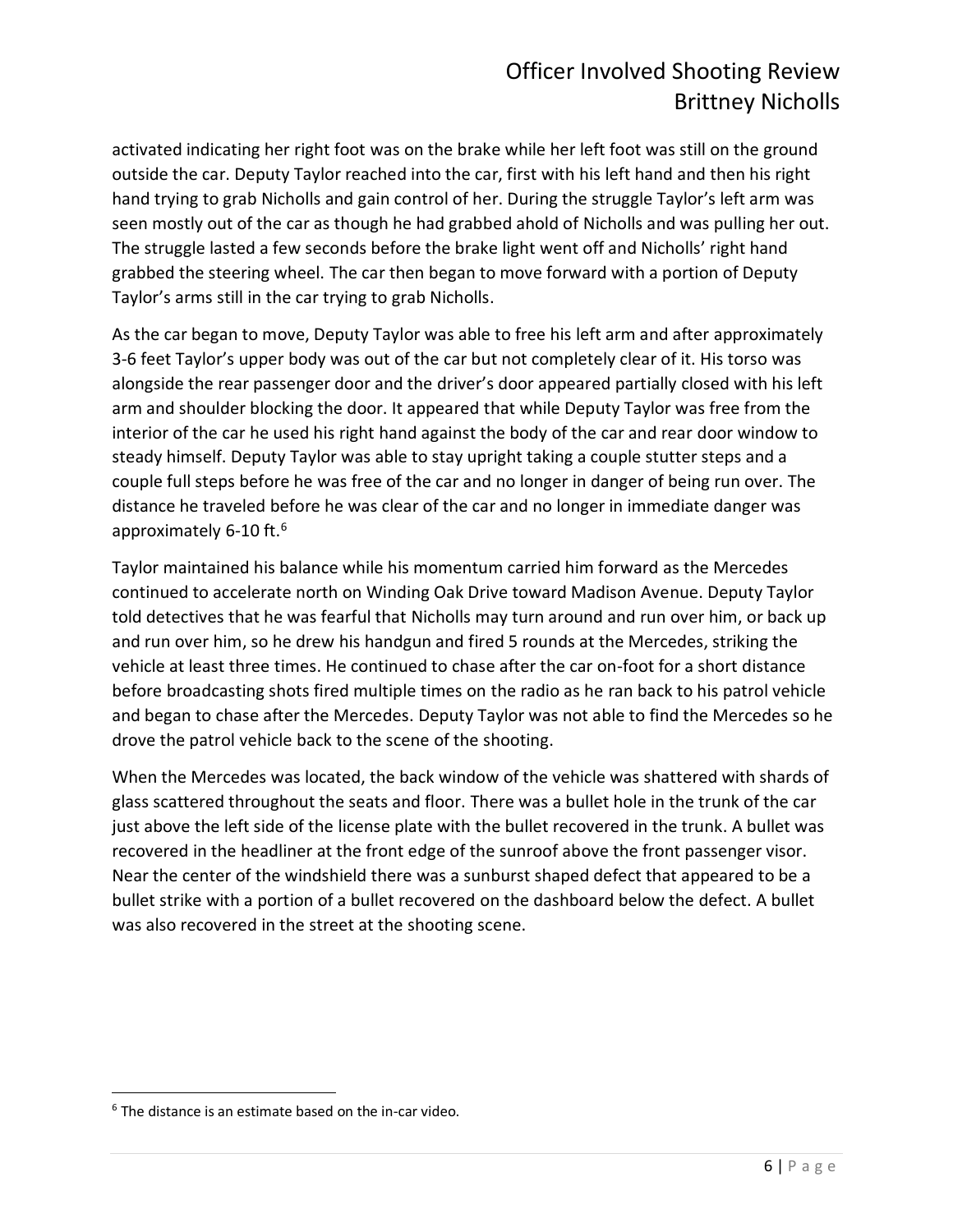activated indicating her right foot was on the brake while her left foot was still on the ground outside the car. Deputy Taylor reached into the car, first with his left hand and then his right hand trying to grab Nicholls and gain control of her. During the struggle Taylor's left arm was seen mostly out of the car as though he had grabbed ahold of Nicholls and was pulling her out. The struggle lasted a few seconds before the brake light went off and Nicholls' right hand grabbed the steering wheel. The car then began to move forward with a portion of Deputy Taylor's arms still in the car trying to grab Nicholls.

As the car began to move, Deputy Taylor was able to free his left arm and after approximately 3-6 feet Taylor's upper body was out of the car but not completely clear of it. His torso was alongside the rear passenger door and the driver's door appeared partially closed with his left arm and shoulder blocking the door. It appeared that while Deputy Taylor was free from the interior of the car he used his right hand against the body of the car and rear door window to steady himself. Deputy Taylor was able to stay upright taking a couple stutter steps and a couple full steps before he was free of the car and no longer in danger of being run over. The distance he traveled before he was clear of the car and no longer in immediate danger was approximately 6-10 ft.<sup>6</sup>

Taylor maintained his balance while his momentum carried him forward as the Mercedes continued to accelerate north on Winding Oak Drive toward Madison Avenue. Deputy Taylor told detectives that he was fearful that Nicholls may turn around and run over him, or back up and run over him, so he drew his handgun and fired 5 rounds at the Mercedes, striking the vehicle at least three times. He continued to chase after the car on-foot for a short distance before broadcasting shots fired multiple times on the radio as he ran back to his patrol vehicle and began to chase after the Mercedes. Deputy Taylor was not able to find the Mercedes so he drove the patrol vehicle back to the scene of the shooting.

When the Mercedes was located, the back window of the vehicle was shattered with shards of glass scattered throughout the seats and floor. There was a bullet hole in the trunk of the car just above the left side of the license plate with the bullet recovered in the trunk. A bullet was recovered in the headliner at the front edge of the sunroof above the front passenger visor. Near the center of the windshield there was a sunburst shaped defect that appeared to be a bullet strike with a portion of a bullet recovered on the dashboard below the defect. A bullet was also recovered in the street at the shooting scene.

 $6$  The distance is an estimate based on the in-car video.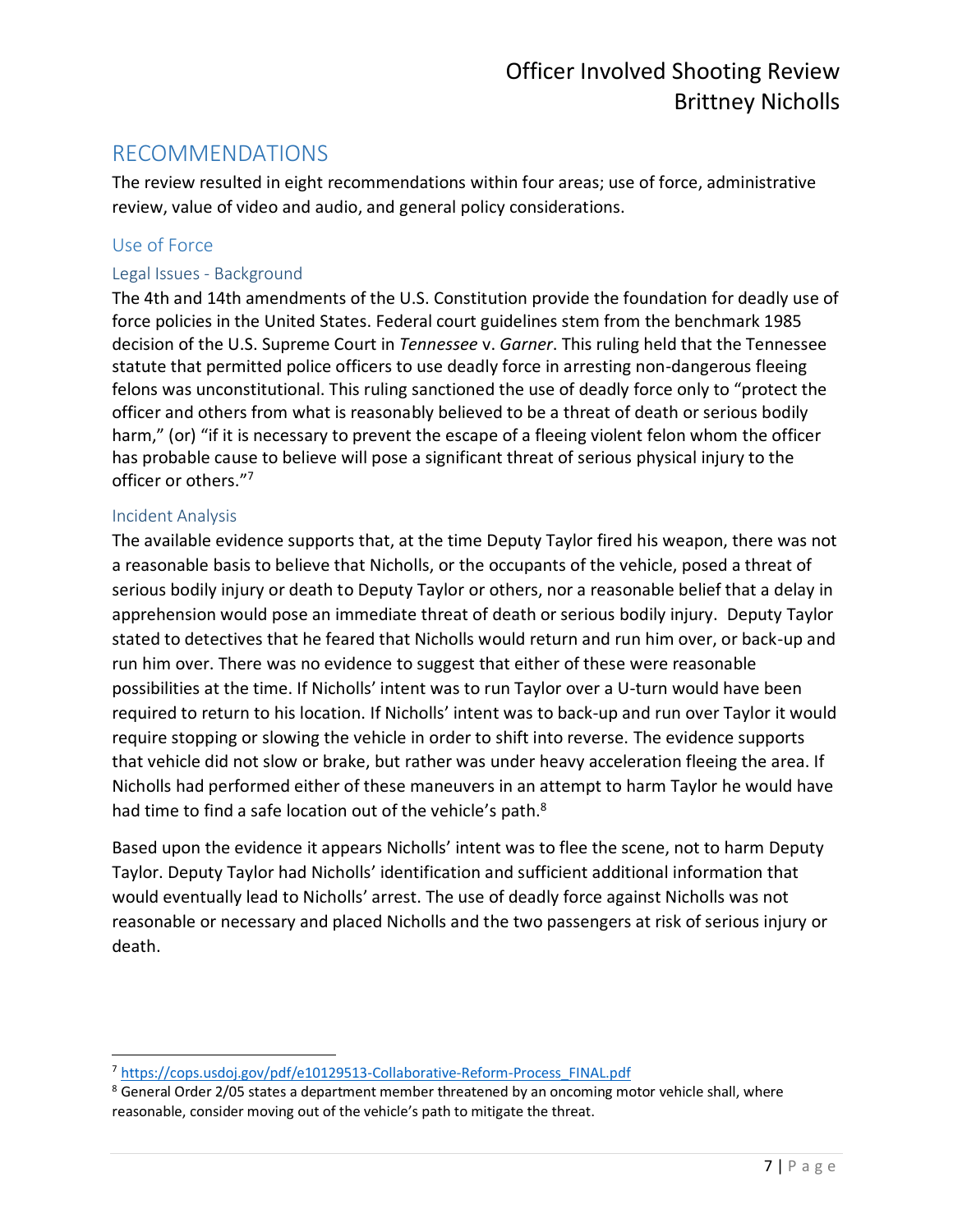### <span id="page-6-0"></span>RECOMMENDATIONS

The review resulted in eight recommendations within four areas; use of force, administrative review, value of video and audio, and general policy considerations.

#### <span id="page-6-1"></span>Use of Force

#### <span id="page-6-2"></span>Legal Issues - Background

The 4th and 14th amendments of the U.S. Constitution provide the foundation for deadly use of force policies in the United States. Federal court guidelines stem from the benchmark 1985 decision of the U.S. Supreme Court in *Tennessee* v. *Garner*. This ruling held that the Tennessee statute that permitted police officers to use deadly force in arresting non-dangerous fleeing felons was unconstitutional. This ruling sanctioned the use of deadly force only to "protect the officer and others from what is reasonably believed to be a threat of death or serious bodily harm," (or) "if it is necessary to prevent the escape of a fleeing violent felon whom the officer has probable cause to believe will pose a significant threat of serious physical injury to the officer or others."<sup>7</sup>

#### <span id="page-6-3"></span>Incident Analysis

The available evidence supports that, at the time Deputy Taylor fired his weapon, there was not a reasonable basis to believe that Nicholls, or the occupants of the vehicle, posed a threat of serious bodily injury or death to Deputy Taylor or others, nor a reasonable belief that a delay in apprehension would pose an immediate threat of death or serious bodily injury. Deputy Taylor stated to detectives that he feared that Nicholls would return and run him over, or back-up and run him over. There was no evidence to suggest that either of these were reasonable possibilities at the time. If Nicholls' intent was to run Taylor over a U-turn would have been required to return to his location. If Nicholls' intent was to back-up and run over Taylor it would require stopping or slowing the vehicle in order to shift into reverse. The evidence supports that vehicle did not slow or brake, but rather was under heavy acceleration fleeing the area. If Nicholls had performed either of these maneuvers in an attempt to harm Taylor he would have had time to find a safe location out of the vehicle's path.<sup>8</sup>

Based upon the evidence it appears Nicholls' intent was to flee the scene, not to harm Deputy Taylor. Deputy Taylor had Nicholls' identification and sufficient additional information that would eventually lead to Nicholls' arrest. The use of deadly force against Nicholls was not reasonable or necessary and placed Nicholls and the two passengers at risk of serious injury or death.

 $\overline{a}$ <sup>7</sup> [https://cops.usdoj.gov/pdf/e10129513-Collaborative-Reform-Process\\_FINAL.pdf](https://cops.usdoj.gov/pdf/e10129513-Collaborative-Reform-Process_FINAL.pdf)

<sup>&</sup>lt;sup>8</sup> General Order 2/05 states a department member threatened by an oncoming motor vehicle shall, where reasonable, consider moving out of the vehicle's path to mitigate the threat.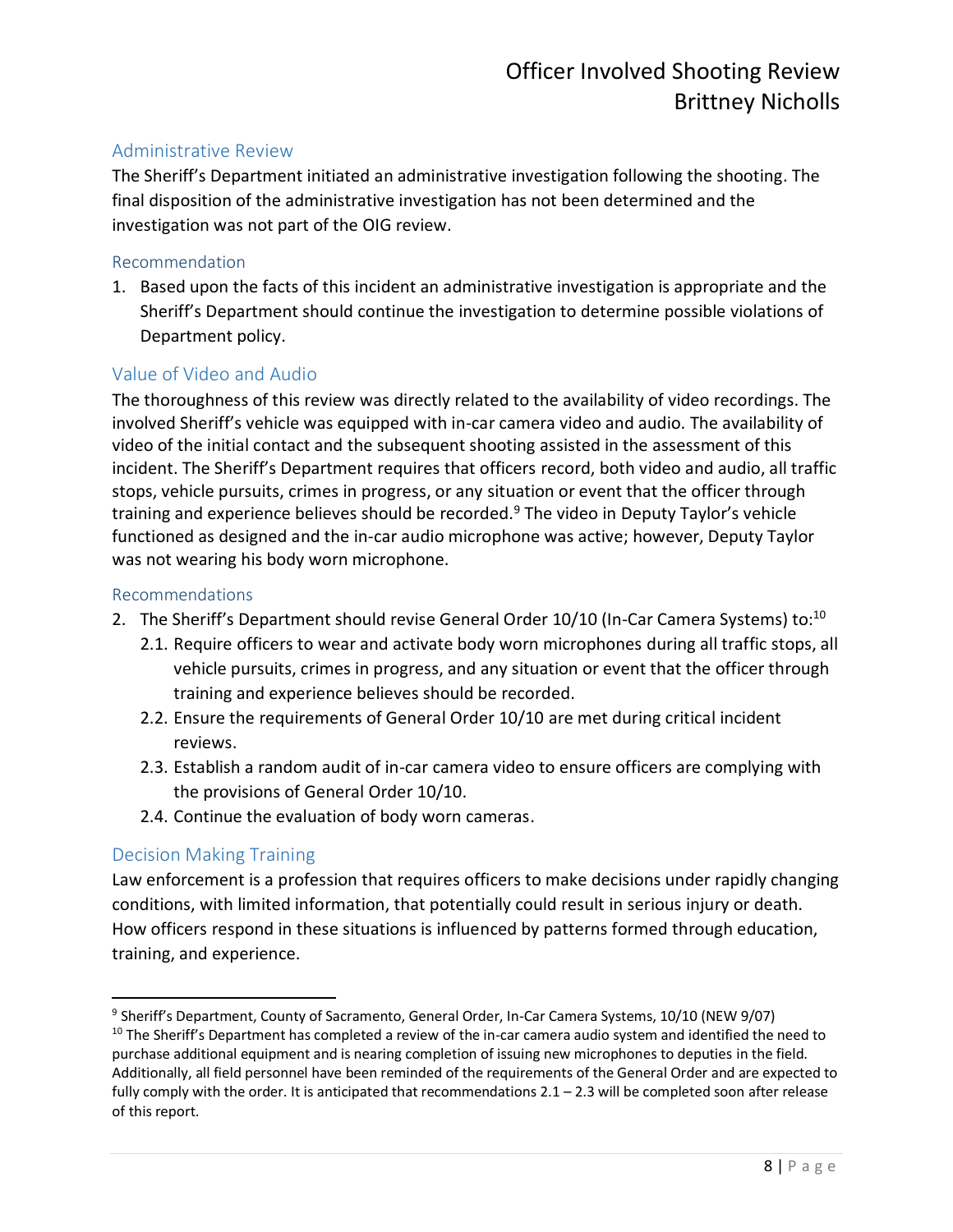#### <span id="page-7-0"></span>Administrative Review

The Sheriff's Department initiated an administrative investigation following the shooting. The final disposition of the administrative investigation has not been determined and the investigation was not part of the OIG review.

#### <span id="page-7-1"></span>Recommendation

1. Based upon the facts of this incident an administrative investigation is appropriate and the Sheriff's Department should continue the investigation to determine possible violations of Department policy.

#### <span id="page-7-2"></span>Value of Video and Audio

The thoroughness of this review was directly related to the availability of video recordings. The involved Sheriff's vehicle was equipped with in-car camera video and audio. The availability of video of the initial contact and the subsequent shooting assisted in the assessment of this incident. The Sheriff's Department requires that officers record, both video and audio, all traffic stops, vehicle pursuits, crimes in progress, or any situation or event that the officer through training and experience believes should be recorded. $9$  The video in Deputy Taylor's vehicle functioned as designed and the in-car audio microphone was active; however, Deputy Taylor was not wearing his body worn microphone.

#### <span id="page-7-3"></span>Recommendations

- 2. The Sheriff's Department should revise General Order 10/10 (In-Car Camera Systems) to:<sup>10</sup>
	- 2.1. Require officers to wear and activate body worn microphones during all traffic stops, all vehicle pursuits, crimes in progress, and any situation or event that the officer through training and experience believes should be recorded.
	- 2.2. Ensure the requirements of General Order 10/10 are met during critical incident reviews.
	- 2.3. Establish a random audit of in-car camera video to ensure officers are complying with the provisions of General Order 10/10.
	- 2.4. Continue the evaluation of body worn cameras.

#### <span id="page-7-4"></span>Decision Making Training

Law enforcement is a profession that requires officers to make decisions under rapidly changing conditions, with limited information, that potentially could result in serious injury or death. How officers respond in these situations is influenced by patterns formed through education, training, and experience.

 $\overline{a}$ <sup>9</sup> Sheriff's Department, County of Sacramento, General Order, In-Car Camera Systems, 10/10 (NEW 9/07)

<sup>&</sup>lt;sup>10</sup> The Sheriff's Department has completed a review of the in-car camera audio system and identified the need to purchase additional equipment and is nearing completion of issuing new microphones to deputies in the field. Additionally, all field personnel have been reminded of the requirements of the General Order and are expected to fully comply with the order. It is anticipated that recommendations  $2.1 - 2.3$  will be completed soon after release of this report.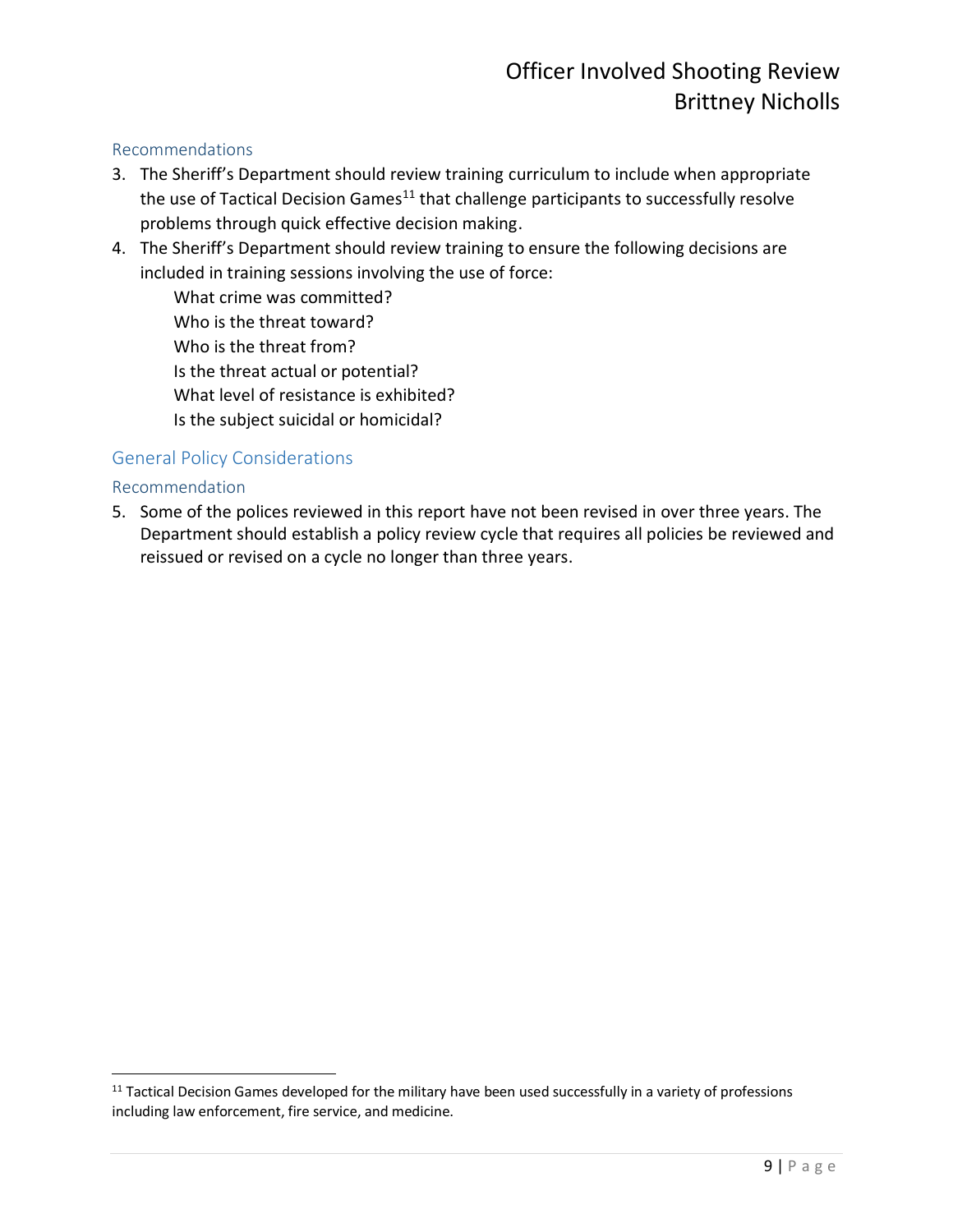#### <span id="page-8-0"></span>Recommendations

- 3. The Sheriff's Department should review training curriculum to include when appropriate the use of Tactical Decision Games $11$  that challenge participants to successfully resolve problems through quick effective decision making.
- 4. The Sheriff's Department should review training to ensure the following decisions are included in training sessions involving the use of force:

What crime was committed? Who is the threat toward? Who is the threat from? Is the threat actual or potential? What level of resistance is exhibited? Is the subject suicidal or homicidal?

#### <span id="page-8-1"></span>General Policy Considerations

#### <span id="page-8-2"></span>Recommendation

 $\overline{\phantom{a}}$ 

5. Some of the polices reviewed in this report have not been revised in over three years. The Department should establish a policy review cycle that requires all policies be reviewed and reissued or revised on a cycle no longer than three years.

<sup>&</sup>lt;sup>11</sup> Tactical Decision Games developed for the military have been used successfully in a variety of professions including law enforcement, fire service, and medicine.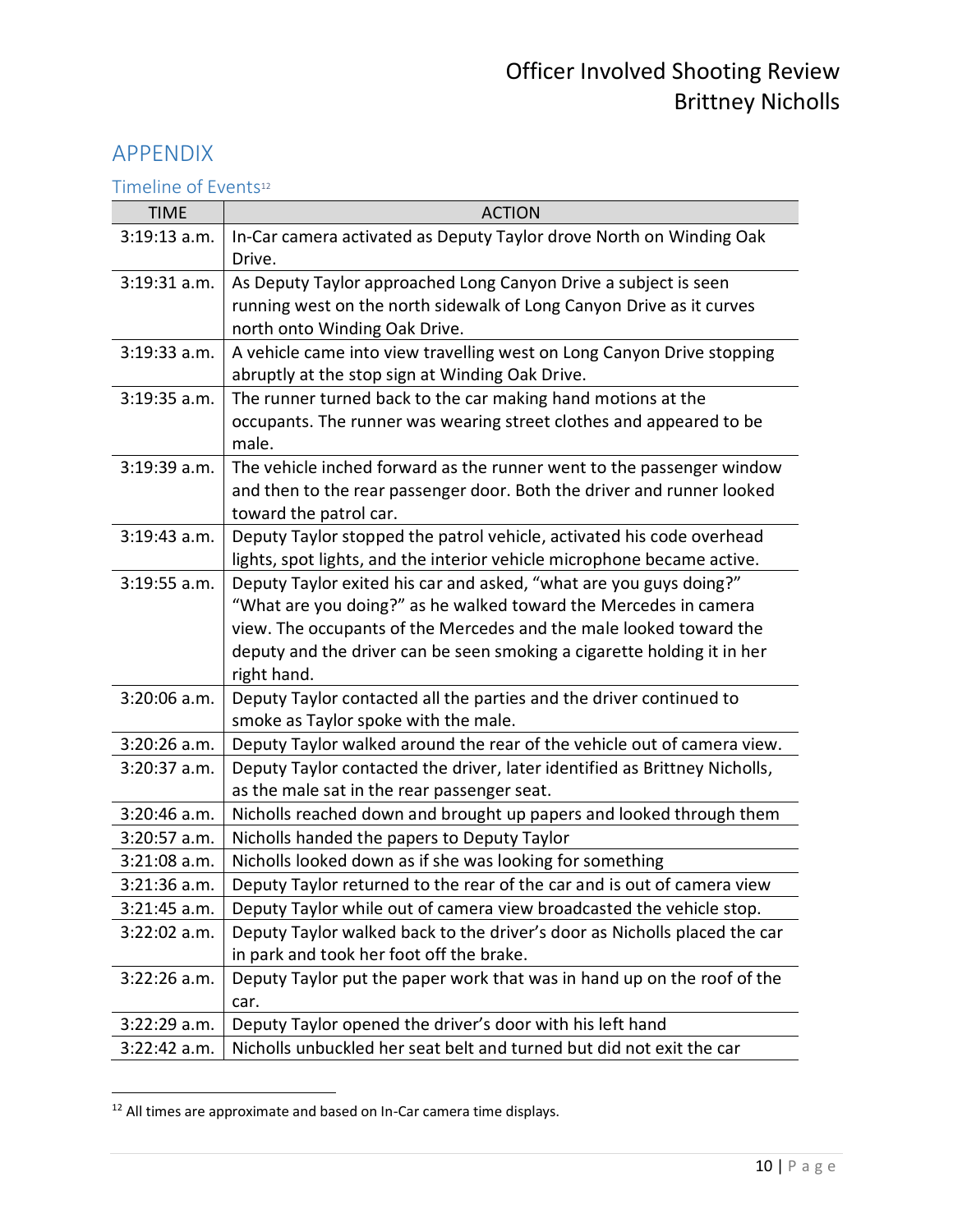## <span id="page-9-0"></span>APPENDIX

<span id="page-9-1"></span>Timeline of Events<sup>12</sup>

| <b>TIME</b>    | <b>ACTION</b>                                                                                                                                                                                                                                                                                          |
|----------------|--------------------------------------------------------------------------------------------------------------------------------------------------------------------------------------------------------------------------------------------------------------------------------------------------------|
| $3:19:13$ a.m. | In-Car camera activated as Deputy Taylor drove North on Winding Oak<br>Drive.                                                                                                                                                                                                                          |
| $3:19:31$ a.m. | As Deputy Taylor approached Long Canyon Drive a subject is seen                                                                                                                                                                                                                                        |
|                | running west on the north sidewalk of Long Canyon Drive as it curves<br>north onto Winding Oak Drive.                                                                                                                                                                                                  |
| $3:19:33$ a.m. | A vehicle came into view travelling west on Long Canyon Drive stopping<br>abruptly at the stop sign at Winding Oak Drive.                                                                                                                                                                              |
| $3:19:35$ a.m. | The runner turned back to the car making hand motions at the<br>occupants. The runner was wearing street clothes and appeared to be<br>male.                                                                                                                                                           |
| 3:19:39 a.m.   | The vehicle inched forward as the runner went to the passenger window<br>and then to the rear passenger door. Both the driver and runner looked<br>toward the patrol car.                                                                                                                              |
| $3:19:43$ a.m. | Deputy Taylor stopped the patrol vehicle, activated his code overhead<br>lights, spot lights, and the interior vehicle microphone became active.                                                                                                                                                       |
| $3:19:55$ a.m. | Deputy Taylor exited his car and asked, "what are you guys doing?"<br>"What are you doing?" as he walked toward the Mercedes in camera<br>view. The occupants of the Mercedes and the male looked toward the<br>deputy and the driver can be seen smoking a cigarette holding it in her<br>right hand. |
| 3:20:06 a.m.   | Deputy Taylor contacted all the parties and the driver continued to<br>smoke as Taylor spoke with the male.                                                                                                                                                                                            |
| $3:20:26$ a.m. | Deputy Taylor walked around the rear of the vehicle out of camera view.                                                                                                                                                                                                                                |
| 3:20:37 a.m.   | Deputy Taylor contacted the driver, later identified as Brittney Nicholls,<br>as the male sat in the rear passenger seat.                                                                                                                                                                              |
| 3:20:46 a.m.   | Nicholls reached down and brought up papers and looked through them                                                                                                                                                                                                                                    |
| $3:20:57$ a.m. | Nicholls handed the papers to Deputy Taylor                                                                                                                                                                                                                                                            |
| $3:21:08$ a.m. | Nicholls looked down as if she was looking for something                                                                                                                                                                                                                                               |
| $3:21:36$ a.m. | Deputy Taylor returned to the rear of the car and is out of camera view                                                                                                                                                                                                                                |
| $3:21:45$ a.m. | Deputy Taylor while out of camera view broadcasted the vehicle stop.                                                                                                                                                                                                                                   |
| $3:22:02$ a.m. | Deputy Taylor walked back to the driver's door as Nicholls placed the car<br>in park and took her foot off the brake.                                                                                                                                                                                  |
| $3:22:26$ a.m. | Deputy Taylor put the paper work that was in hand up on the roof of the<br>car.                                                                                                                                                                                                                        |
| $3:22:29$ a.m. | Deputy Taylor opened the driver's door with his left hand                                                                                                                                                                                                                                              |
| $3:22:42$ a.m. | Nicholls unbuckled her seat belt and turned but did not exit the car                                                                                                                                                                                                                                   |

 $12$  All times are approximate and based on In-Car camera time displays.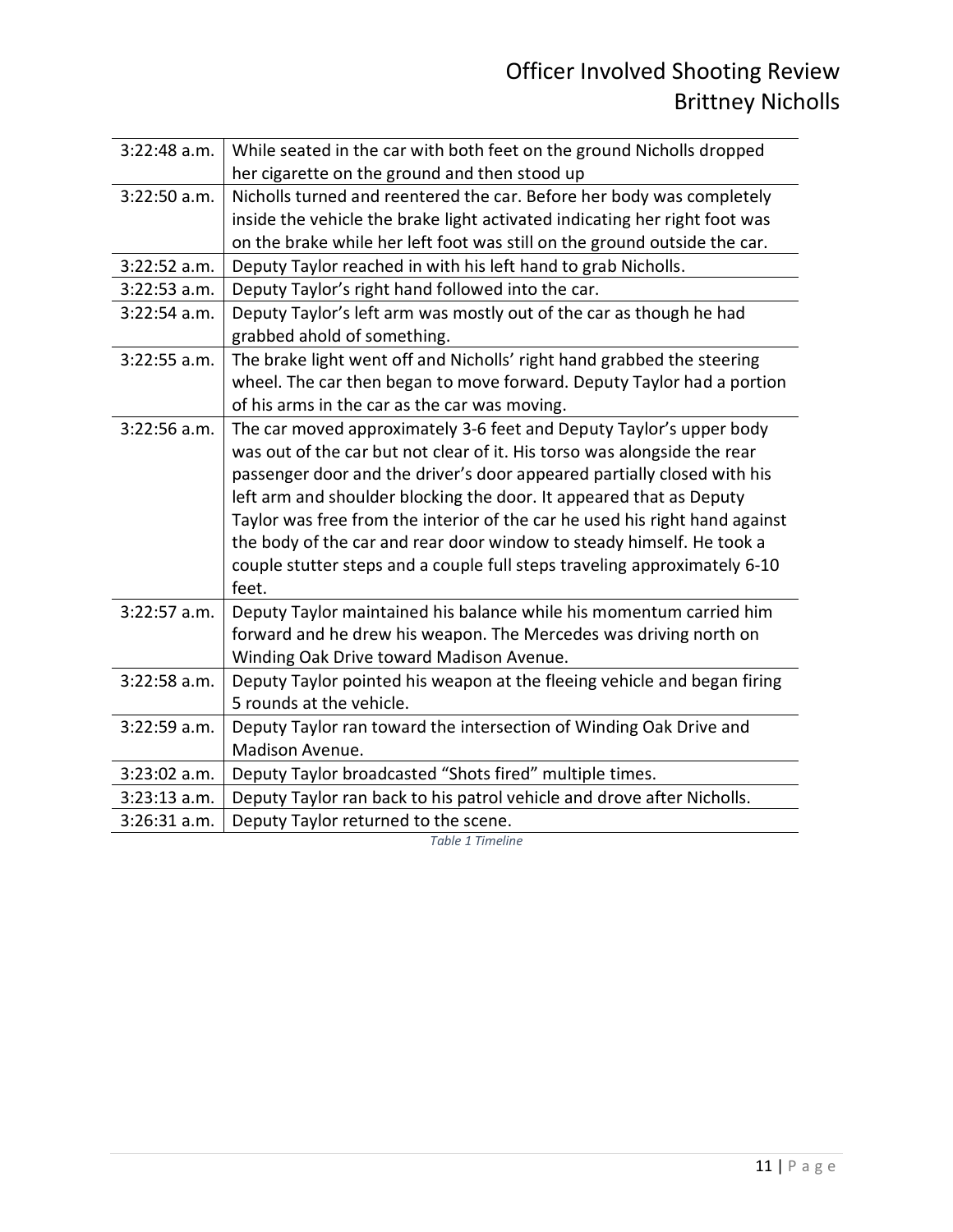| 3:22:48 a.m.   | While seated in the car with both feet on the ground Nicholls dropped       |
|----------------|-----------------------------------------------------------------------------|
|                | her cigarette on the ground and then stood up                               |
| $3:22:50$ a.m. | Nicholls turned and reentered the car. Before her body was completely       |
|                | inside the vehicle the brake light activated indicating her right foot was  |
|                | on the brake while her left foot was still on the ground outside the car.   |
| 3:22:52 a.m.   | Deputy Taylor reached in with his left hand to grab Nicholls.               |
| 3:22:53 a.m.   | Deputy Taylor's right hand followed into the car.                           |
| 3:22:54 a.m.   | Deputy Taylor's left arm was mostly out of the car as though he had         |
|                | grabbed ahold of something.                                                 |
| $3:22:55$ a.m. | The brake light went off and Nicholls' right hand grabbed the steering      |
|                | wheel. The car then began to move forward. Deputy Taylor had a portion      |
|                | of his arms in the car as the car was moving.                               |
| $3:22:56$ a.m. | The car moved approximately 3-6 feet and Deputy Taylor's upper body         |
|                | was out of the car but not clear of it. His torso was alongside the rear    |
|                | passenger door and the driver's door appeared partially closed with his     |
|                | left arm and shoulder blocking the door. It appeared that as Deputy         |
|                | Taylor was free from the interior of the car he used his right hand against |
|                | the body of the car and rear door window to steady himself. He took a       |
|                | couple stutter steps and a couple full steps traveling approximately 6-10   |
|                | feet.                                                                       |
| 3:22:57 a.m.   | Deputy Taylor maintained his balance while his momentum carried him         |
|                | forward and he drew his weapon. The Mercedes was driving north on           |
|                | Winding Oak Drive toward Madison Avenue.                                    |
| $3:22:58$ a.m. | Deputy Taylor pointed his weapon at the fleeing vehicle and began firing    |
|                | 5 rounds at the vehicle.                                                    |
| $3:22:59$ a.m. | Deputy Taylor ran toward the intersection of Winding Oak Drive and          |
|                | Madison Avenue.                                                             |
| 3:23:02 a.m.   | Deputy Taylor broadcasted "Shots fired" multiple times.                     |
| $3:23:13$ a.m. | Deputy Taylor ran back to his patrol vehicle and drove after Nicholls.      |
| $3:26:31$ a.m. | Deputy Taylor returned to the scene.                                        |

*Table 1 Timeline*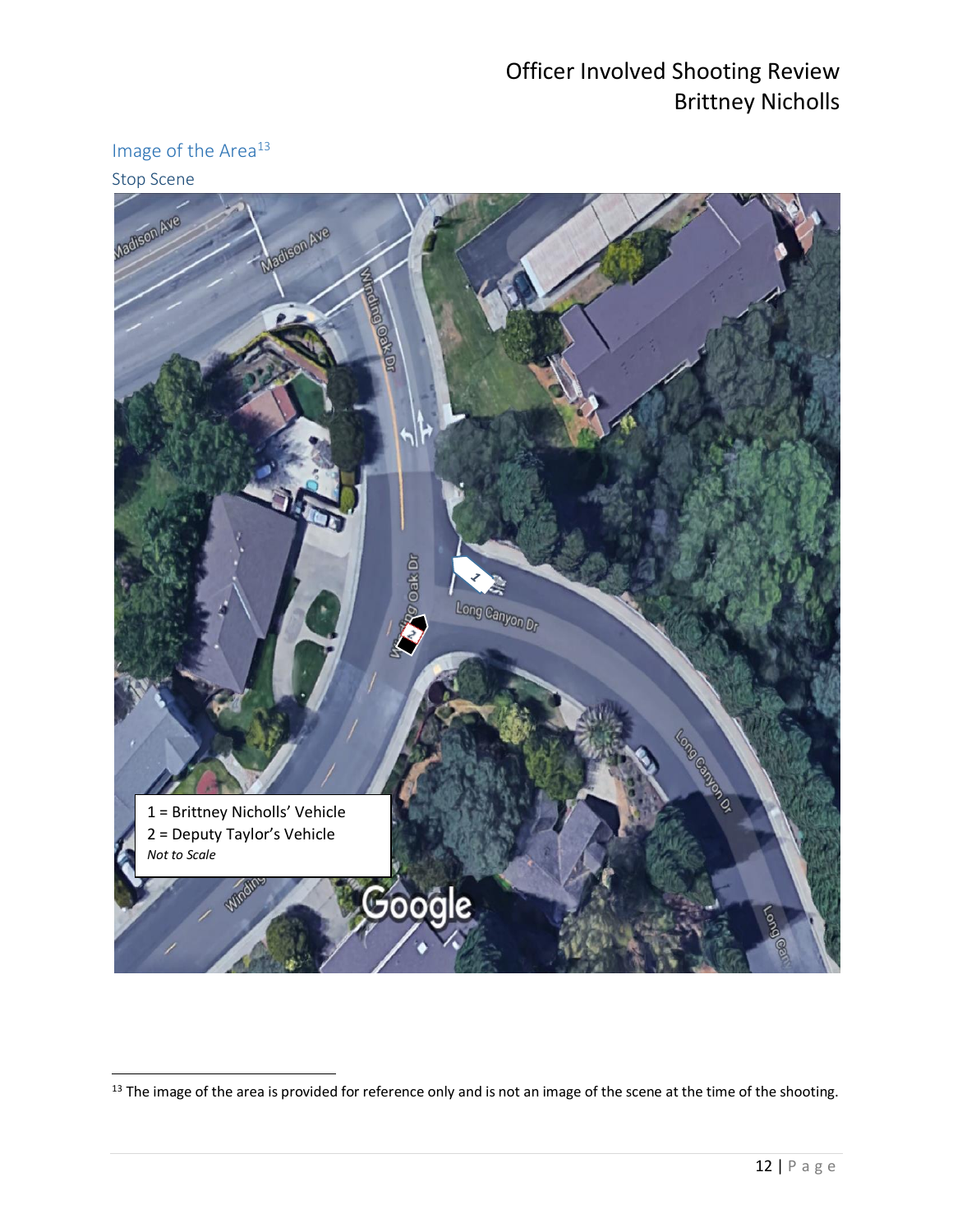## <span id="page-11-0"></span>Image of the Area<sup>13</sup>

#### <span id="page-11-1"></span>Stop Scene



 $^{13}$  The image of the area is provided for reference only and is not an image of the scene at the time of the shooting.